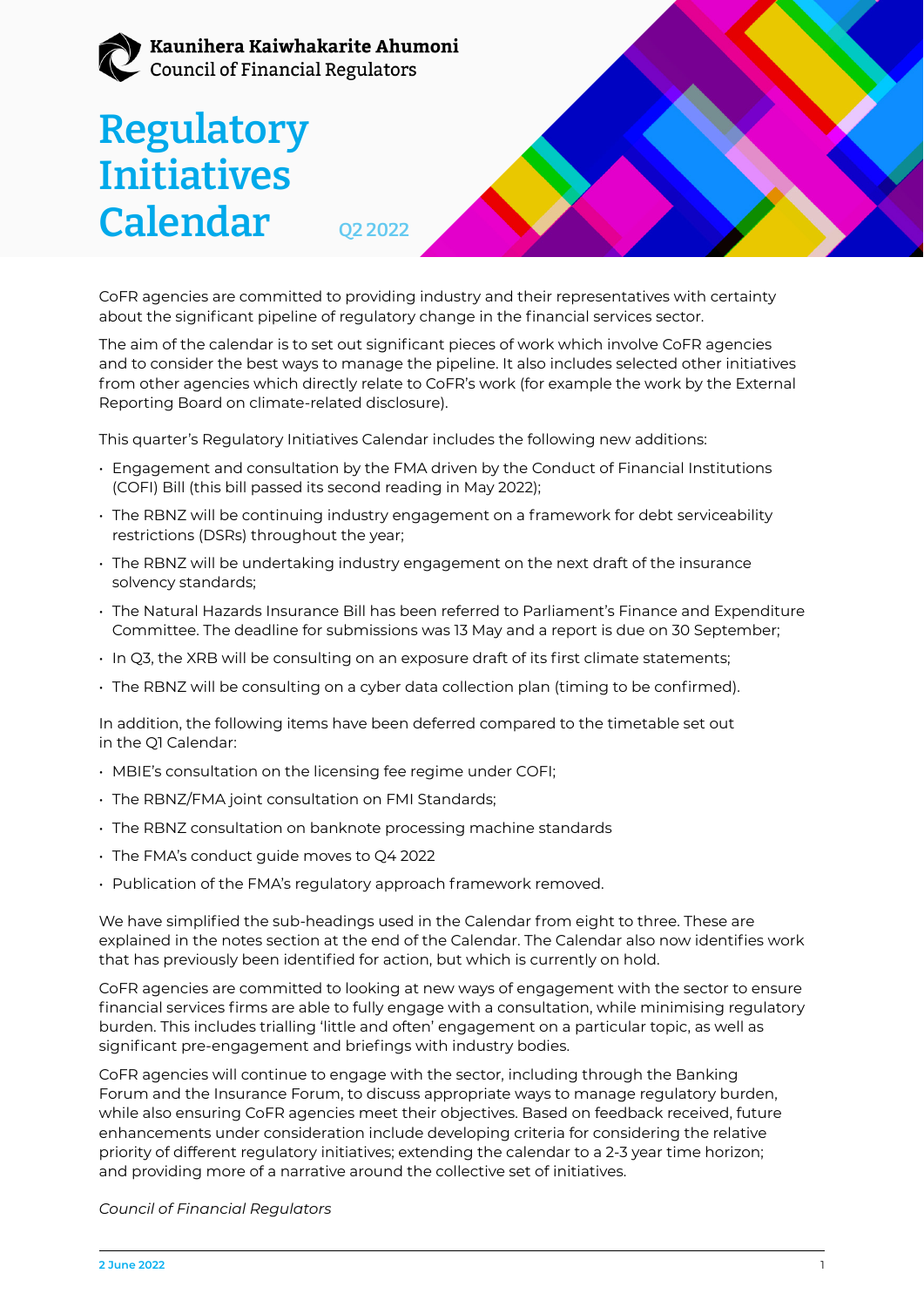## Kaunihera Kaiwhakarite Ahumoni Council of Financial Regulators

# **Regulatory Initiatives Calendar**  $_{022}$



CoFR agencies are committed to providing industry and their representatives with certainty about the significant pipeline of regulatory change in the financial services sector.

The aim of the calendar is to set out significant pieces of work which involve CoFR agencies and to consider the best ways to manage the pipeline. It also includes selected other initiatives from other agencies which directly relate to CoFR's work (for example the work by the External Reporting Board on climate-related disclosure).

This quarter's Regulatory Initiatives Calendar includes the following new additions:

- Engagement and consultation by the FMA driven by the Conduct of Financial Institutions (COFI) Bill (this bill passed its second reading in May 2022);
- The RBNZ will be continuing industry engagement on a framework for debt serviceability restrictions (DSRs) throughout the year;
- The RBNZ will be undertaking industry engagement on the next draft of the insurance solvency standards;
- The Natural Hazards Insurance Bill has been referred to Parliament's Finance and Expenditure Committee. The deadline for submissions was 13 May and a report is due on 30 September;
- In Q3, the XRB will be consulting on an exposure draft of its first climate statements;
- The RBNZ will be consulting on a cyber data collection plan (timing to be confirmed).

In addition, the following items have been deferred compared to the timetable set out in the Q1 Calendar:

- MBIE's consultation on the licensing fee regime under COFI;
- The RBNZ/FMA joint consultation on FMI Standards;
- The RBNZ consultation on banknote processing machine standards
- The FMA's conduct guide moves to Q4 2022
- Publication of the FMA's regulatory approach framework removed.

We have simplified the sub-headings used in the Calendar from eight to three. These are explained in the notes section at the end of the Calendar. The Calendar also now identifies work that has previously been identified for action, but which is currently on hold.

CoFR agencies are committed to looking at new ways of engagement with the sector to ensure financial services firms are able to fully engage with a consultation, while minimising regulatory burden. This includes trialling 'little and often' engagement on a particular topic, as well as significant pre-engagement and briefings with industry bodies.

CoFR agencies will continue to engage with the sector, including through the Banking Forum and the Insurance Forum, to discuss appropriate ways to manage regulatory burden, while also ensuring CoFR agencies meet their objectives. Based on feedback received, future enhancements under consideration include developing criteria for considering the relative priority of different regulatory initiatives; extending the calendar to a 2-3 year time horizon; and providing more of a narrative around the collective set of initiatives.

*Council of Financial Regulators*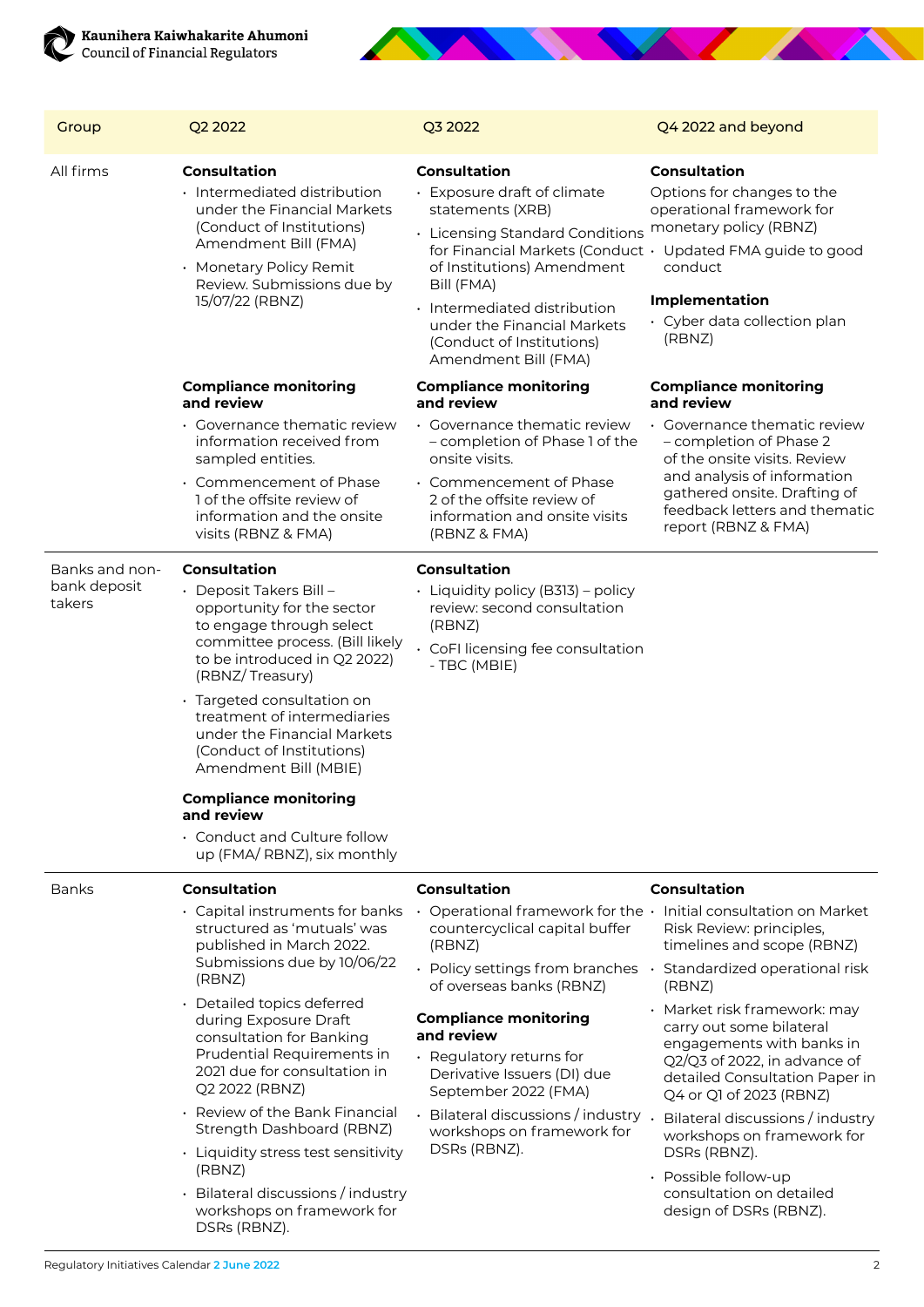

| Group                                    | Q2 2022                                                                                                                                                                                                                                                                                                                                                                                                                                                | Q3 2022                                                                                                                                                                                                                                                                   | Q4 2022 and beyond                                                                                                                                                                                                                                   |
|------------------------------------------|--------------------------------------------------------------------------------------------------------------------------------------------------------------------------------------------------------------------------------------------------------------------------------------------------------------------------------------------------------------------------------------------------------------------------------------------------------|---------------------------------------------------------------------------------------------------------------------------------------------------------------------------------------------------------------------------------------------------------------------------|------------------------------------------------------------------------------------------------------------------------------------------------------------------------------------------------------------------------------------------------------|
| All firms                                | <b>Consultation</b><br>· Intermediated distribution<br>under the Financial Markets<br>(Conduct of Institutions)<br>Amendment Bill (FMA)<br>· Monetary Policy Remit<br>Review. Submissions due by<br>15/07/22 (RBNZ)                                                                                                                                                                                                                                    | <b>Consultation</b><br>· Exposure draft of climate<br>statements (XRB)<br>• Licensing Standard Conditions<br>of Institutions) Amendment<br>Bill (FMA)<br>· Intermediated distribution<br>under the Financial Markets<br>(Conduct of Institutions)<br>Amendment Bill (FMA) | <b>Consultation</b><br>Options for changes to the<br>operational framework for<br>monetary policy (RBNZ)<br>for Financial Markets (Conduct · Updated FMA guide to good<br>conduct<br><b>Implementation</b><br>· Cyber data collection plan<br>(RBNZ) |
|                                          | <b>Compliance monitoring</b><br>and review                                                                                                                                                                                                                                                                                                                                                                                                             | <b>Compliance monitoring</b><br>and review                                                                                                                                                                                                                                | <b>Compliance monitoring</b><br>and review                                                                                                                                                                                                           |
|                                          | • Governance thematic review<br>information received from<br>sampled entities.<br>• Commencement of Phase<br>1 of the offsite review of<br>information and the onsite<br>visits (RBNZ & FMA)                                                                                                                                                                                                                                                           | · Governance thematic review<br>- completion of Phase 1 of the<br>onsite visits.<br>$\cdot$ Commencement of Phase<br>2 of the offsite review of<br>information and onsite visits<br>(RBNZ & FMA)                                                                          | • Governance thematic review<br>- completion of Phase 2<br>of the onsite visits. Review<br>and analysis of information<br>gathered onsite. Drafting of<br>feedback letters and thematic<br>report (RBNZ & FMA)                                       |
| Banks and non-<br>bank deposit<br>takers | Consultation<br>• Deposit Takers Bill –<br>opportunity for the sector<br>to engage through select<br>committee process. (Bill likely<br>to be introduced in Q2 2022)<br>(RBNZ/Treasury)<br>· Targeted consultation on<br>treatment of intermediaries<br>under the Financial Markets<br>(Conduct of Institutions)<br>Amendment Bill (MBIE)<br><b>Compliance monitoring</b><br>and review<br>• Conduct and Culture follow<br>up (FMA/ RBNZ), six monthly | <b>Consultation</b><br>• Liquidity policy (B313) – policy<br>review: second consultation<br>(RBNZ)<br>• CoFI licensing fee consultation<br>- TBC (MBIE)                                                                                                                   |                                                                                                                                                                                                                                                      |
| <b>Banks</b>                             | <b>Consultation</b>                                                                                                                                                                                                                                                                                                                                                                                                                                    | <b>Consultation</b>                                                                                                                                                                                                                                                       | <b>Consultation</b>                                                                                                                                                                                                                                  |
|                                          | · Capital instruments for banks<br>structured as 'mutuals' was<br>published in March 2022.<br>Submissions due by 10/06/22<br>(RBNZ)                                                                                                                                                                                                                                                                                                                    | countercyclical capital buffer<br>(RBNZ)<br>$\cdot$ Policy settings from branches $\cdot$ Standardized operational risk<br>of overseas banks (RBNZ)                                                                                                                       | Operational framework for the · Initial consultation on Market<br>Risk Review: principles,<br>timelines and scope (RBNZ)<br>(RBNZ)                                                                                                                   |
|                                          | • Detailed topics deferred<br>during Exposure Draft<br>consultation for Banking<br>Prudential Requirements in<br>2021 due for consultation in<br>Q2 2022 (RBNZ)                                                                                                                                                                                                                                                                                        | <b>Compliance monitoring</b><br>and review<br>· Regulatory returns for<br>Derivative Issuers (DI) due<br>September 2022 (FMA)                                                                                                                                             | · Market risk framework: may<br>carry out some bilateral<br>engagements with banks in<br>Q2/Q3 of 2022, in advance of<br>detailed Consultation Paper in<br>Q4 or Q1 of 2023 (RBNZ)                                                                   |
|                                          | • Review of the Bank Financial<br>Strength Dashboard (RBNZ)<br>• Liquidity stress test sensitivity                                                                                                                                                                                                                                                                                                                                                     | Bilateral discussions / industry<br>workshops on framework for<br>DSRs (RBNZ).                                                                                                                                                                                            | Bilateral discussions / industry<br>workshops on framework for<br>DSRs (RBNZ).                                                                                                                                                                       |
|                                          | (RBNZ)<br>• Bilateral discussions / industry<br>workshops on framework for<br>DSRs (RBNZ).                                                                                                                                                                                                                                                                                                                                                             |                                                                                                                                                                                                                                                                           | · Possible follow-up<br>consultation on detailed<br>design of DSRs (RBNZ).                                                                                                                                                                           |

Service of the contract of the contract of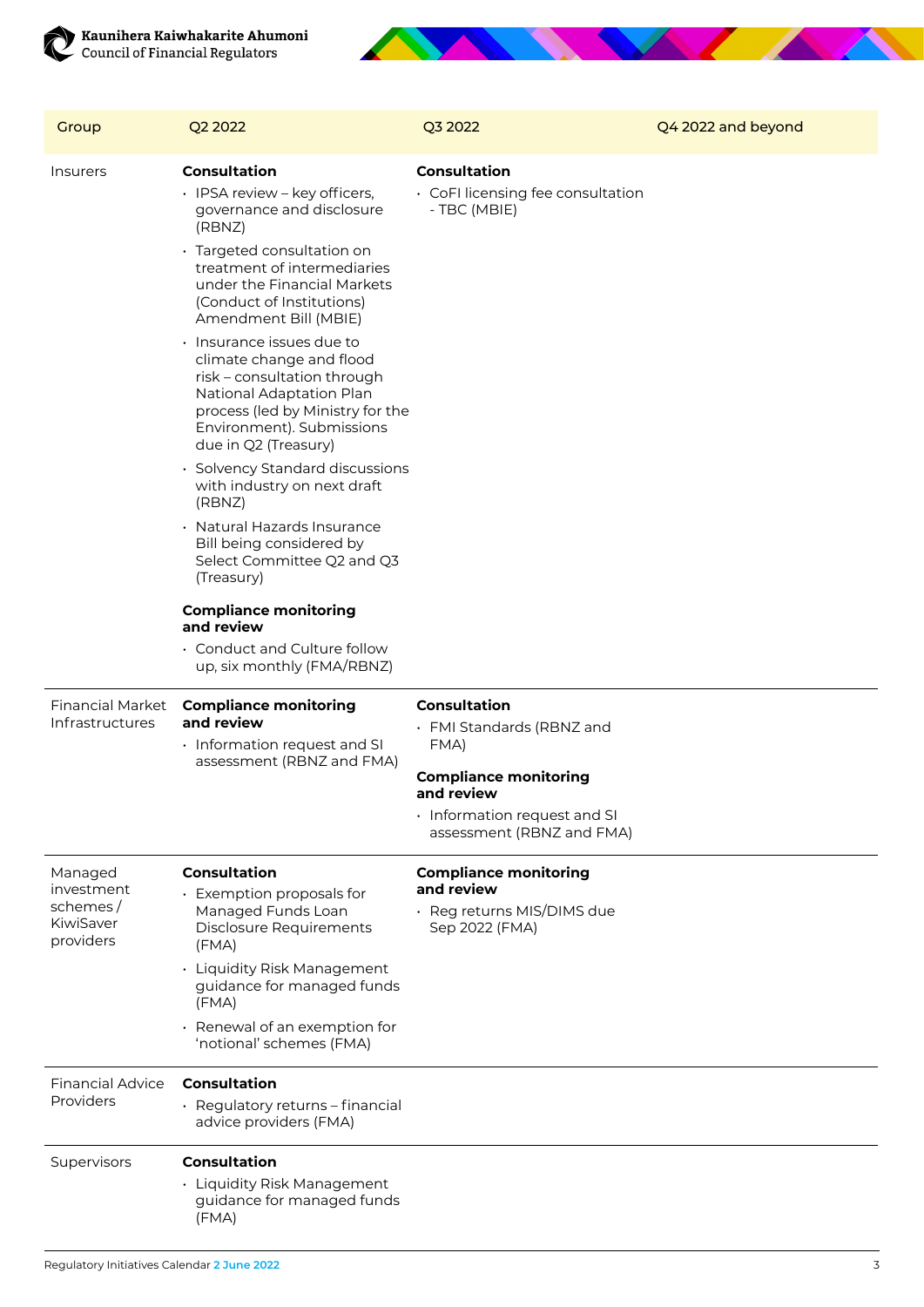



| Group                                                       | Q2 2022                                                                                                                                                                                                                                                                                                                                                                                                                                                                                                                                                                                                                                                                                                                                                         | Q3 2022                                                                                                                                                             | Q4 2022 and beyond |
|-------------------------------------------------------------|-----------------------------------------------------------------------------------------------------------------------------------------------------------------------------------------------------------------------------------------------------------------------------------------------------------------------------------------------------------------------------------------------------------------------------------------------------------------------------------------------------------------------------------------------------------------------------------------------------------------------------------------------------------------------------------------------------------------------------------------------------------------|---------------------------------------------------------------------------------------------------------------------------------------------------------------------|--------------------|
| Insurers                                                    | <b>Consultation</b><br>· IPSA review - key officers,<br>governance and disclosure<br>(RBNZ)<br>· Targeted consultation on<br>treatment of intermediaries<br>under the Financial Markets<br>(Conduct of Institutions)<br>Amendment Bill (MBIE)<br>$\cdot$ Insurance issues due to<br>climate change and flood<br>risk - consultation through<br>National Adaptation Plan<br>process (led by Ministry for the<br>Environment). Submissions<br>due in Q2 (Treasury)<br>• Solvency Standard discussions<br>with industry on next draft<br>(RBNZ)<br>· Natural Hazards Insurance<br>Bill being considered by<br>Select Committee Q2 and Q3<br>(Treasury)<br><b>Compliance monitoring</b><br>and review<br>• Conduct and Culture follow<br>up, six monthly (FMA/RBNZ) | <b>Consultation</b><br>• CoFI licensing fee consultation<br>- TBC (MBIE)                                                                                            |                    |
| Financial Market<br>Infrastructures                         | <b>Compliance monitoring</b><br>and review<br>• Information request and SI<br>assessment (RBNZ and FMA)                                                                                                                                                                                                                                                                                                                                                                                                                                                                                                                                                                                                                                                         | <b>Consultation</b><br>• FMI Standards (RBNZ and<br>FMA)<br><b>Compliance monitoring</b><br>and review<br>· Information request and SI<br>assessment (RBNZ and FMA) |                    |
| Managed<br>investment<br>schemes/<br>KiwiSaver<br>providers | <b>Consultation</b><br>• Exemption proposals for<br>Managed Funds Loan<br><b>Disclosure Requirements</b><br>(FMA)<br>• Liquidity Risk Management<br>guidance for managed funds<br>(FMA)<br>· Renewal of an exemption for<br>'notional' schemes (FMA)                                                                                                                                                                                                                                                                                                                                                                                                                                                                                                            | <b>Compliance monitoring</b><br>and review<br>· Reg returns MIS/DIMS due<br>Sep 2022 (FMA)                                                                          |                    |
| <b>Financial Advice</b><br>Providers                        | <b>Consultation</b><br>· Regulatory returns - financial<br>advice providers (FMA)                                                                                                                                                                                                                                                                                                                                                                                                                                                                                                                                                                                                                                                                               |                                                                                                                                                                     |                    |
| Supervisors                                                 | <b>Consultation</b><br>• Liquidity Risk Management<br>guidance for managed funds                                                                                                                                                                                                                                                                                                                                                                                                                                                                                                                                                                                                                                                                                |                                                                                                                                                                     |                    |